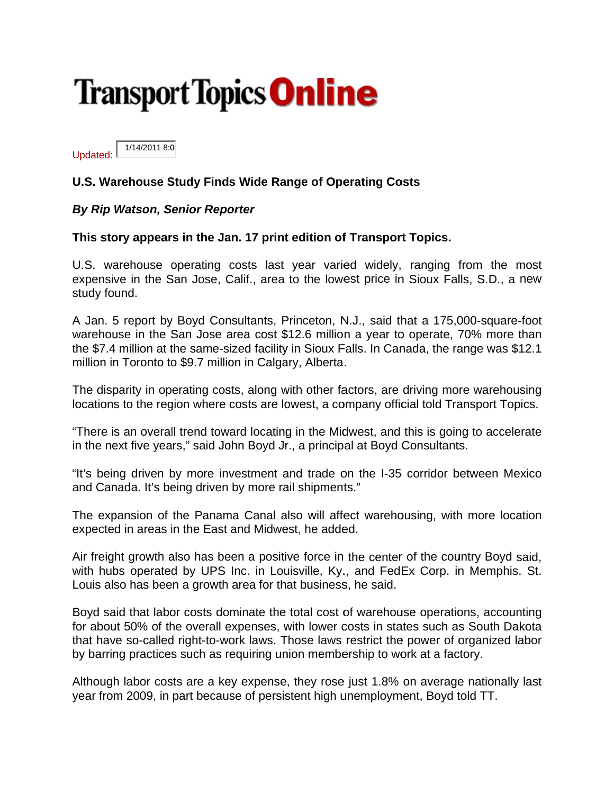## **Transport Topics Online**

1/14/2011 8:0 Updated:

## U.S. Warehouse Study Finds Wide Range of Operating Costs

## By Rip Watson, Senior Reporter

## This story appears in the Jan. 17 print edition of Transport Topics.

U.S. warehouse operating costs last year varied widely, ranging from the most expensive in the San Jose, Calif., area to the lowest price in Sioux Falls, S.D., a new study found.

A Jan. 5 report by Boyd Consultants, Princeton, N.J., said that a 175,000-square-foot warehouse in the San Jose area cost \$12.6 million a year to operate, 70% more than the \$7.4 million at the same-sized facility in Sioux Falls. In Canada, the range was \$12.1 million in Toronto to \$9.7 million in Calgary, Alberta.

The disparity in operating costs, along with other factors, are driving more warehousing locations to the region where costs are lowest, a company official told Transport Topics.

"There is an overall trend toward locating in the Midwest, and this is going to accelerate in the next five years," said John Boyd Jr., a principal at Boyd Consultants.

"It's being driven by more investment and trade on the I-35 corridor between Mexico and Canada. It's being driven by more rail shipments."

The expansion of the Panama Canal also will affect warehousing, with more location expected in areas in the East and Midwest, he added.

Air freight growth also has been a positive force in the center of the country Boyd said, with hubs operated by UPS Inc. in Louisville, Ky., and FedEx Corp. in Memphis. St. Louis also has been a growth area for that business, he said.

Boyd said that labor costs dominate the total cost of warehouse operations, accounting for about 50% of the overall expenses, with lower costs in states such as South Dakota that have so-called right-to-work laws. Those laws restrict the power of organized labor by barring practices such as requiring union membership to work at a factory.

Although labor costs are a key expense, they rose just 1.8% on average nationally last year from 2009, in part because of persistent high unemployment. Boyd told TT.